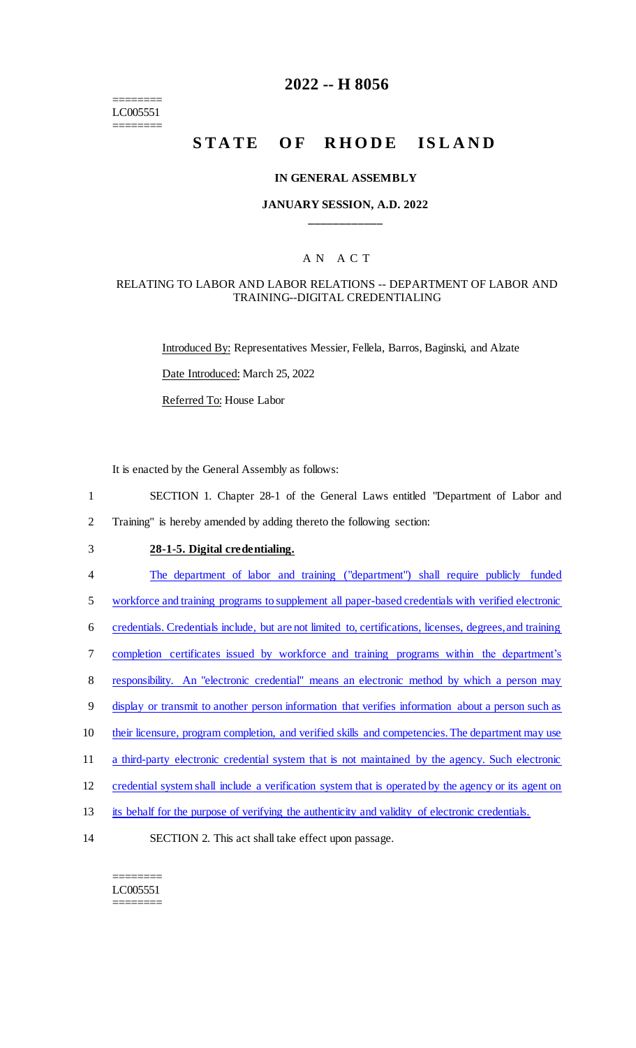======== LC005551 ========

### **2022 -- H 8056**

# **STATE OF RHODE ISLAND**

#### **IN GENERAL ASSEMBLY**

#### **JANUARY SESSION, A.D. 2022 \_\_\_\_\_\_\_\_\_\_\_\_**

#### A N A C T

#### RELATING TO LABOR AND LABOR RELATIONS -- DEPARTMENT OF LABOR AND TRAINING--DIGITAL CREDENTIALING

Introduced By: Representatives Messier, Fellela, Barros, Baginski, and Alzate Date Introduced: March 25, 2022 Referred To: House Labor

It is enacted by the General Assembly as follows:

- 1 SECTION 1. Chapter 28-1 of the General Laws entitled "Department of Labor and 2 Training" is hereby amended by adding thereto the following section:
- 

## 3 **28-1-5. Digital credentialing.**

4 The department of labor and training ("department") shall require publicly funded

5 workforce and training programs to supplement all paper-based credentials with verified electronic

- 6 credentials. Credentials include, but are not limited to, certifications, licenses, degrees, and training
- 7 completion certificates issued by workforce and training programs within the department's
- 8 responsibility. An "electronic credential" means an electronic method by which a person may
- 9 display or transmit to another person information that verifies information about a person such as
- 10 their licensure, program completion, and verified skills and competencies. The department may use
- 11 a third-party electronic credential system that is not maintained by the agency. Such electronic
- 12 credential system shall include a verification system that is operated by the agency or its agent on
- 13 its behalf for the purpose of verifying the authenticity and validity of electronic credentials.
- 14 SECTION 2. This act shall take effect upon passage.

======== LC005551 ========